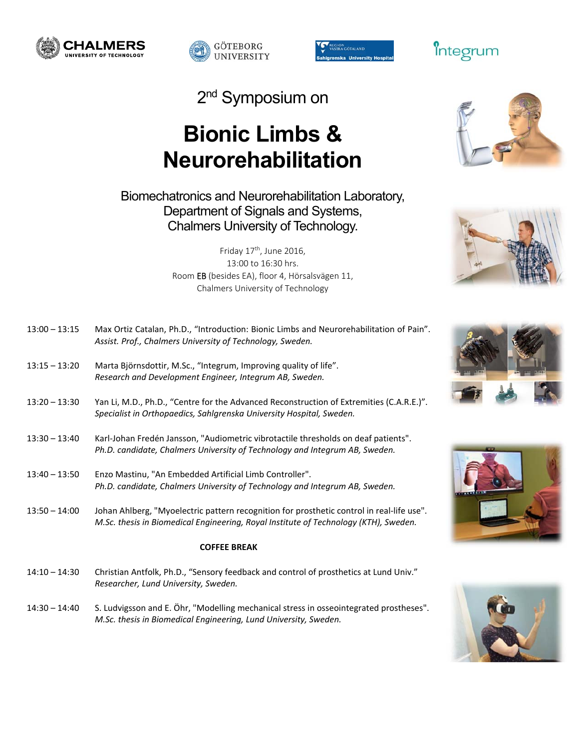





2<sup>nd</sup> Symposium on

# **Bionic Limbs & Neurorehabilitation**

## Biomechatronics and Neurorehabilitation Laboratory, Department of Signals and Systems, Chalmers University of Technology.

Friday 17<sup>th</sup>, June 2016, 13:00 to 16:30 hrs. Room EB (besides EA), floor 4, Hörsalsvägen 11, Chalmers University of Technology

| $13:00 - 13:15$     | Max Ortiz Catalan, Ph.D., "Introduction: Bionic Limbs and Neurorehabilitation of Pain".<br>Assist. Prof., Chalmers University of Technology, Sweden.                              |
|---------------------|-----------------------------------------------------------------------------------------------------------------------------------------------------------------------------------|
| $13:15 - 13:20$     | Marta Björnsdottir, M.Sc., "Integrum, Improving quality of life".<br>Research and Development Engineer, Integrum AB, Sweden.                                                      |
| $13:20 - 13:30$     | Yan Li, M.D., Ph.D., "Centre for the Advanced Reconstruction of Extremities (C.A.R.E.)".<br>Specialist in Orthopaedics, Sahlgrenska University Hospital, Sweden.                  |
| $13:30 - 13:40$     | Karl-Johan Fredén Jansson, "Audiometric vibrotactile thresholds on deaf patients".<br>Ph.D. candidate, Chalmers University of Technology and Integrum AB, Sweden.                 |
| $13:40 - 13:50$     | Enzo Mastinu, "An Embedded Artificial Limb Controller".<br>Ph.D. candidate, Chalmers University of Technology and Integrum AB, Sweden.                                            |
| $13:50 - 14:00$     | Johan Ahlberg, "Myoelectric pattern recognition for prosthetic control in real-life use".<br>M.Sc. thesis in Biomedical Engineering, Royal Institute of Technology (KTH), Sweden. |
| <b>COFFEE BREAK</b> |                                                                                                                                                                                   |
| $14:10 - 14:30$     | Christian Antfolk, Ph.D., "Sensory feedback and control of prosthetics at Lund Univ."<br>Researcher, Lund University, Sweden.                                                     |
| $14:30 - 14:40$     | S. Ludvigsson and E. Öhr, "Modelling mechanical stress in osseointegrated prostheses".                                                                                            |